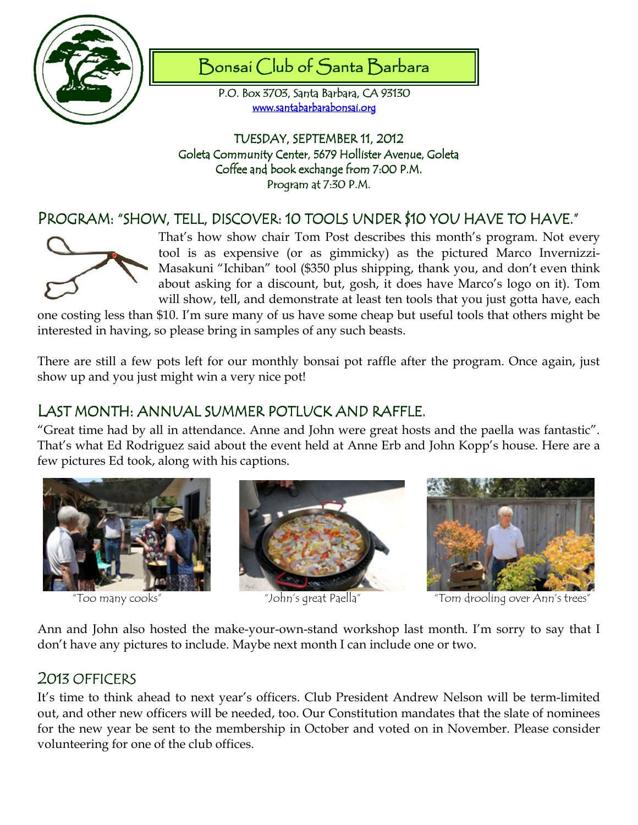

# Bonsai Club of Santa Barbara

P.O. Box 3703, Santa Barbara, CA 93130 www.santabarbarabonsai.org

TUESDAY, SEPTEMBER 11, 2012 Goleta Community Center, 5679 Hollister Avenue, Goleta Coffee and book exchange from 7:00 P.M. Program at 7:30 P.M.

## PROGRAM: "SHOW, TELL, DISCOVER: 10 TOOLS UNDER \$10 YOU HAVE TO HAVE."



That's how show chair Tom Post describes this month's program. Not every tool is as expensive (or as gimmicky) as the pictured Marco Invernizzi-Masakuni "Ichiban" tool (\$350 plus shipping, thank you, and don't even think about asking for a discount, but, gosh, it does have Marco's logo on it). Tom will show, tell, and demonstrate at least ten tools that you just gotta have, each

one costing less than \$10. I'm sure many of us have some cheap but useful tools that others might be interested in having, so please bring in samples of any such beasts.

There are still a few pots left for our monthly bonsai pot raffle after the program. Once again, just show up and you just might win a very nice pot!

### LAST MONTH: ANNUAL SUMMER POTLUCK AND RAFFLE.

"Great time had by all in attendance. Anne and John were great hosts and the paella was fantastic". That's what Ed Rodriguez said about the event held at Anne Erb and John Kopp's house. Here are a few pictures Ed took, along with his captions.







"Too many cooks" "John's great Paella" "Tom drooling over Ann's trees"

Ann and John also hosted the make-your-own-stand workshop last month. I'm sorry to say that I don't have any pictures to include. Maybe next month I can include one or two.

#### 2013 OFFICERS

It's time to think ahead to next year's officers. Club President Andrew Nelson will be term-limited out, and other new officers will be needed, too. Our Constitution mandates that the slate of nominees for the new year be sent to the membership in October and voted on in November. Please consider volunteering for one of the club offices.